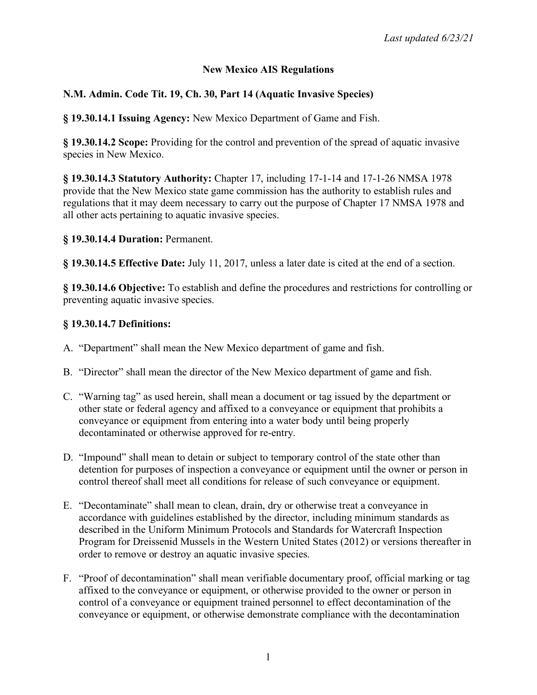## **New Mexico AIS Regulations**

# **N.M. Admin. Code Tit. 19, Ch. 30, Part 14 (Aquatic Invasive Species)**

**§ 19.30.14.1 Issuing Agency:** New Mexico Department of Game and Fish.

**§ 19.30.14.2 Scope:** Providing for the control and prevention of the spread of aquatic invasive species in New Mexico.

**§ 19.30.14.3 Statutory Authority:** Chapter 17, including 17-1-14 and 17-1-26 NMSA 1978 provide that the New Mexico state game commission has the authority to establish rules and regulations that it may deem necessary to carry out the purpose of Chapter 17 NMSA 1978 and all other acts pertaining to aquatic invasive species.

#### **§ 19.30.14.4 Duration:** Permanent.

**§ 19.30.14.5 Effective Date:** July 11, 2017, unless a later date is cited at the end of a section.

**§ 19.30.14.6 Objective:** To establish and define the procedures and restrictions for controlling or preventing aquatic invasive species.

## **§ 19.30.14.7 Definitions:**

- A. "Department" shall mean the New Mexico department of game and fish.
- B. "Director" shall mean the director of the New Mexico department of game and fish.
- C. "Warning tag" as used herein, shall mean a document or tag issued by the department or other state or federal agency and affixed to a conveyance or equipment that prohibits a conveyance or equipment from entering into a water body until being properly decontaminated or otherwise approved for re-entry.
- D. "Impound" shall mean to detain or subject to temporary control of the state other than detention for purposes of inspection a conveyance or equipment until the owner or person in control thereof shall meet all conditions for release of such conveyance or equipment.
- E. "Decontaminate" shall mean to clean, drain, dry or otherwise treat a conveyance in accordance with guidelines established by the director, including minimum standards as described in the Uniform Minimum Protocols and Standards for Watercraft Inspection Program for Dreissenid Mussels in the Western United States (2012) or versions thereafter in order to remove or destroy an aquatic invasive species.
- F. "Proof of decontamination" shall mean verifiable documentary proof, official marking or tag affixed to the conveyance or equipment, or otherwise provided to the owner or person in control of a conveyance or equipment trained personnel to effect decontamination of the conveyance or equipment, or otherwise demonstrate compliance with the decontamination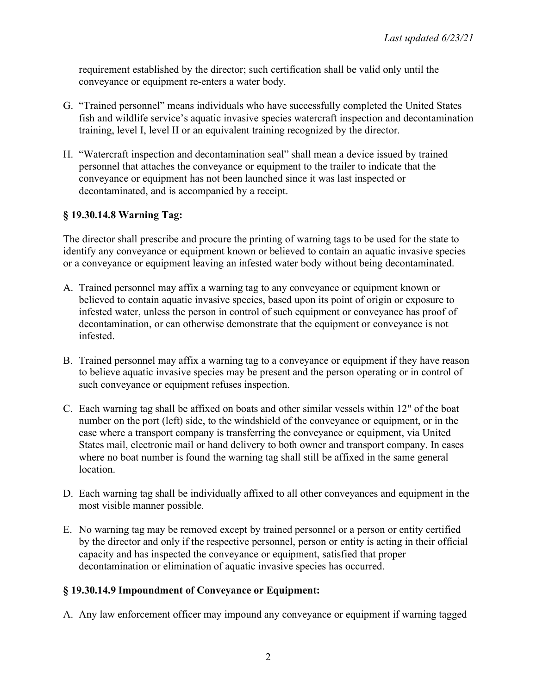requirement established by the director; such certification shall be valid only until the conveyance or equipment re-enters a water body.

- G. "Trained personnel" means individuals who have successfully completed the United States fish and wildlife service's aquatic invasive species watercraft inspection and decontamination training, level I, level II or an equivalent training recognized by the director.
- H. "Watercraft inspection and decontamination seal" shall mean a device issued by trained personnel that attaches the conveyance or equipment to the trailer to indicate that the conveyance or equipment has not been launched since it was last inspected or decontaminated, and is accompanied by a receipt.

## **§ 19.30.14.8 Warning Tag:**

The director shall prescribe and procure the printing of warning tags to be used for the state to identify any conveyance or equipment known or believed to contain an aquatic invasive species or a conveyance or equipment leaving an infested water body without being decontaminated.

- A. Trained personnel may affix a warning tag to any conveyance or equipment known or believed to contain aquatic invasive species, based upon its point of origin or exposure to infested water, unless the person in control of such equipment or conveyance has proof of decontamination, or can otherwise demonstrate that the equipment or conveyance is not infested.
- B. Trained personnel may affix a warning tag to a conveyance or equipment if they have reason to believe aquatic invasive species may be present and the person operating or in control of such conveyance or equipment refuses inspection.
- C. Each warning tag shall be affixed on boats and other similar vessels within 12" of the boat number on the port (left) side, to the windshield of the conveyance or equipment, or in the case where a transport company is transferring the conveyance or equipment, via United States mail, electronic mail or hand delivery to both owner and transport company. In cases where no boat number is found the warning tag shall still be affixed in the same general location.
- D. Each warning tag shall be individually affixed to all other conveyances and equipment in the most visible manner possible.
- E. No warning tag may be removed except by trained personnel or a person or entity certified by the director and only if the respective personnel, person or entity is acting in their official capacity and has inspected the conveyance or equipment, satisfied that proper decontamination or elimination of aquatic invasive species has occurred.

## **§ 19.30.14.9 Impoundment of Conveyance or Equipment:**

A. Any law enforcement officer may impound any conveyance or equipment if warning tagged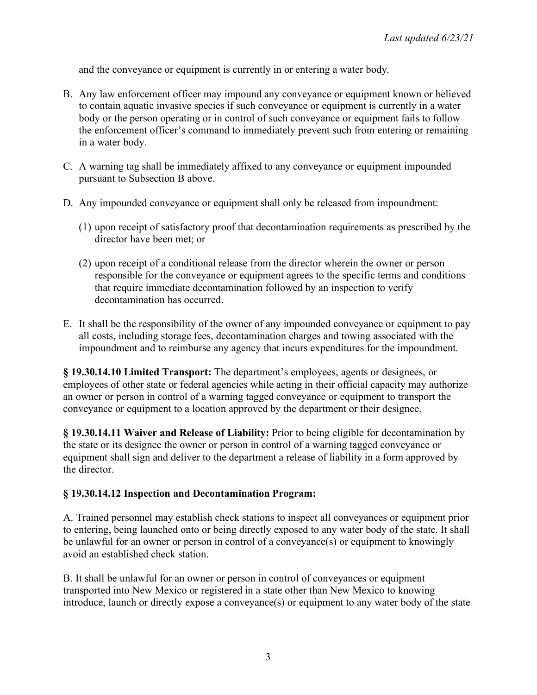and the conveyance or equipment is currently in or entering a water body.

- B. Any law enforcement officer may impound any conveyance or equipment known or believed to contain aquatic invasive species if such conveyance or equipment is currently in a water body or the person operating or in control of such conveyance or equipment fails to follow the enforcement officer's command to immediately prevent such from entering or remaining in a water body.
- C. A warning tag shall be immediately affixed to any conveyance or equipment impounded pursuant to Subsection B above.
- D. Any impounded conveyance or equipment shall only be released from impoundment:
	- (1) upon receipt of satisfactory proof that decontamination requirements as prescribed by the director have been met; or
	- (2) upon receipt of a conditional release from the director wherein the owner or person responsible for the conveyance or equipment agrees to the specific terms and conditions that require immediate decontamination followed by an inspection to verify decontamination has occurred.
- E. It shall be the responsibility of the owner of any impounded conveyance or equipment to pay all costs, including storage fees, decontamination charges and towing associated with the impoundment and to reimburse any agency that incurs expenditures for the impoundment.

**§ 19.30.14.10 Limited Transport:** The department's employees, agents or designees, or employees of other state or federal agencies while acting in their official capacity may authorize an owner or person in control of a warning tagged conveyance or equipment to transport the conveyance or equipment to a location approved by the department or their designee.

**§ 19.30.14.11 Waiver and Release of Liability:** Prior to being eligible for decontamination by the state or its designee the owner or person in control of a warning tagged conveyance or equipment shall sign and deliver to the department a release of liability in a form approved by the director.

#### **§ 19.30.14.12 Inspection and Decontamination Program:**

A. Trained personnel may establish check stations to inspect all conveyances or equipment prior to entering, being launched onto or being directly exposed to any water body of the state. It shall be unlawful for an owner or person in control of a conveyance(s) or equipment to knowingly avoid an established check station.

B. It shall be unlawful for an owner or person in control of conveyances or equipment transported into New Mexico or registered in a state other than New Mexico to knowing introduce, launch or directly expose a conveyance(s) or equipment to any water body of the state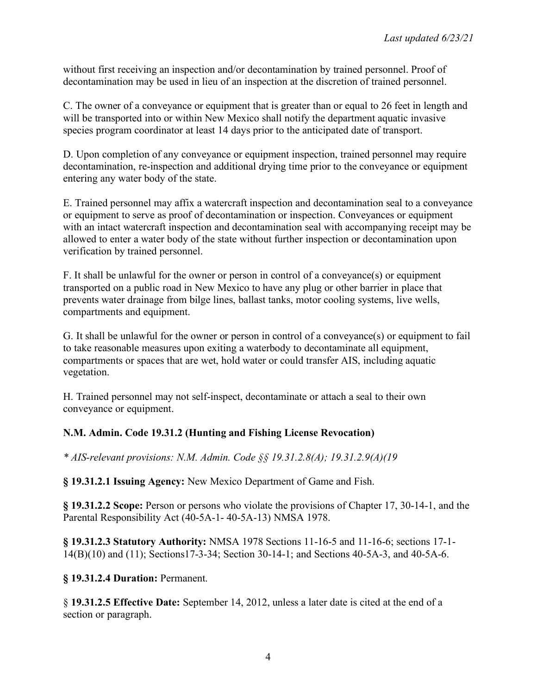without first receiving an inspection and/or decontamination by trained personnel. Proof of decontamination may be used in lieu of an inspection at the discretion of trained personnel.

C. The owner of a conveyance or equipment that is greater than or equal to 26 feet in length and will be transported into or within New Mexico shall notify the department aquatic invasive species program coordinator at least 14 days prior to the anticipated date of transport.

D. Upon completion of any conveyance or equipment inspection, trained personnel may require decontamination, re-inspection and additional drying time prior to the conveyance or equipment entering any water body of the state.

E. Trained personnel may affix a watercraft inspection and decontamination seal to a conveyance or equipment to serve as proof of decontamination or inspection. Conveyances or equipment with an intact watercraft inspection and decontamination seal with accompanying receipt may be allowed to enter a water body of the state without further inspection or decontamination upon verification by trained personnel.

F. It shall be unlawful for the owner or person in control of a conveyance(s) or equipment transported on a public road in New Mexico to have any plug or other barrier in place that prevents water drainage from bilge lines, ballast tanks, motor cooling systems, live wells, compartments and equipment.

G. It shall be unlawful for the owner or person in control of a conveyance(s) or equipment to fail to take reasonable measures upon exiting a waterbody to decontaminate all equipment, compartments or spaces that are wet, hold water or could transfer AIS, including aquatic vegetation.

H. Trained personnel may not self-inspect, decontaminate or attach a seal to their own conveyance or equipment.

## **N.M. Admin. Code 19.31.2 (Hunting and Fishing License Revocation)**

*\* AIS-relevant provisions: N.M. Admin. Code §§ 19.31.2.8(A); 19.31.2.9(A)(19*

**§ 19.31.2.1 Issuing Agency:** New Mexico Department of Game and Fish.

**§ 19.31.2.2 Scope:** Person or persons who violate the provisions of Chapter 17, 30-14-1, and the Parental Responsibility Act (40-5A-1- 40-5A-13) NMSA 1978.

**§ 19.31.2.3 Statutory Authority:** NMSA 1978 Sections 11-16-5 and 11-16-6; sections 17-1- 14(B)(10) and (11); Sections17-3-34; Section 30-14-1; and Sections 40-5A-3, and 40-5A-6.

**§ 19.31.2.4 Duration:** Permanent.

§ **19.31.2.5 Effective Date:** September 14, 2012, unless a later date is cited at the end of a section or paragraph.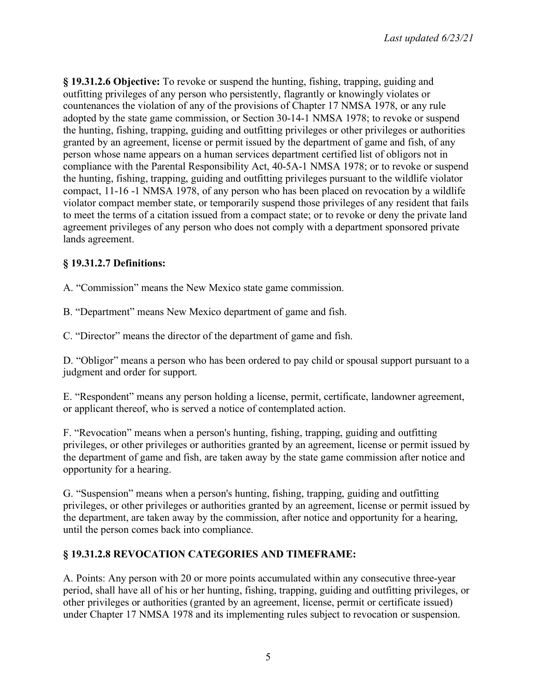**§ 19.31.2.6 Objective:** To revoke or suspend the hunting, fishing, trapping, guiding and outfitting privileges of any person who persistently, flagrantly or knowingly violates or countenances the violation of any of the provisions of Chapter 17 NMSA 1978, or any rule adopted by the state game commission, or Section 30-14-1 NMSA 1978; to revoke or suspend the hunting, fishing, trapping, guiding and outfitting privileges or other privileges or authorities granted by an agreement, license or permit issued by the department of game and fish, of any person whose name appears on a human services department certified list of obligors not in compliance with the Parental Responsibility Act, 40-5A-1 NMSA 1978; or to revoke or suspend the hunting, fishing, trapping, guiding and outfitting privileges pursuant to the wildlife violator compact, 11-16 -1 NMSA 1978, of any person who has been placed on revocation by a wildlife violator compact member state, or temporarily suspend those privileges of any resident that fails to meet the terms of a citation issued from a compact state; or to revoke or deny the private land agreement privileges of any person who does not comply with a department sponsored private lands agreement.

## **§ 19.31.2.7 Definitions:**

A. "Commission" means the New Mexico state game commission.

B. "Department" means New Mexico department of game and fish.

C. "Director" means the director of the department of game and fish.

D. "Obligor" means a person who has been ordered to pay child or spousal support pursuant to a judgment and order for support.

E. "Respondent" means any person holding a license, permit, certificate, landowner agreement, or applicant thereof, who is served a notice of contemplated action.

F. "Revocation" means when a person's hunting, fishing, trapping, guiding and outfitting privileges, or other privileges or authorities granted by an agreement, license or permit issued by the department of game and fish, are taken away by the state game commission after notice and opportunity for a hearing.

G. "Suspension" means when a person's hunting, fishing, trapping, guiding and outfitting privileges, or other privileges or authorities granted by an agreement, license or permit issued by the department, are taken away by the commission, after notice and opportunity for a hearing, until the person comes back into compliance.

## **§ 19.31.2.8 REVOCATION CATEGORIES AND TIMEFRAME:**

A. Points: Any person with 20 or more points accumulated within any consecutive three-year period, shall have all of his or her hunting, fishing, trapping, guiding and outfitting privileges, or other privileges or authorities (granted by an agreement, license, permit or certificate issued) under Chapter 17 NMSA 1978 and its implementing rules subject to revocation or suspension.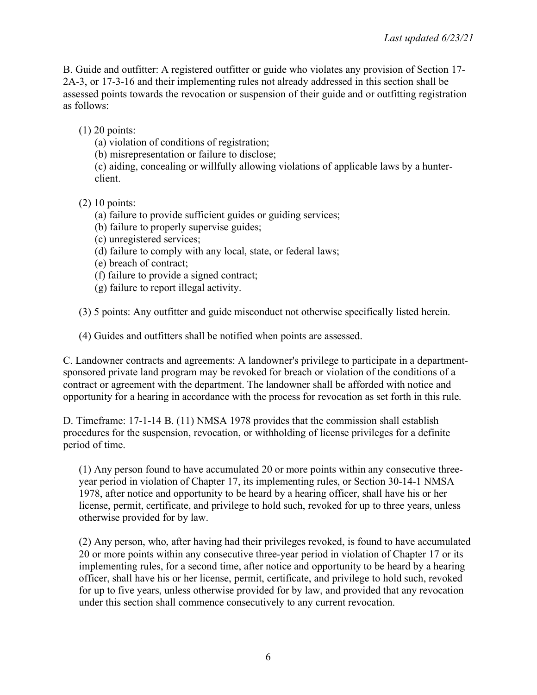B. Guide and outfitter: A registered outfitter or guide who violates any provision of Section 17- 2A-3, or 17-3-16 and their implementing rules not already addressed in this section shall be assessed points towards the revocation or suspension of their guide and or outfitting registration as follows:

(1) 20 points:

(a) violation of conditions of registration;

(b) misrepresentation or failure to disclose;

(c) aiding, concealing or willfully allowing violations of applicable laws by a hunterclient.

- (2) 10 points:
	- (a) failure to provide sufficient guides or guiding services;
	- (b) failure to properly supervise guides;
	- (c) unregistered services;
	- (d) failure to comply with any local, state, or federal laws;
	- (e) breach of contract;
	- (f) failure to provide a signed contract;
	- (g) failure to report illegal activity.

(3) 5 points: Any outfitter and guide misconduct not otherwise specifically listed herein.

(4) Guides and outfitters shall be notified when points are assessed.

C. Landowner contracts and agreements: A landowner's privilege to participate in a departmentsponsored private land program may be revoked for breach or violation of the conditions of a contract or agreement with the department. The landowner shall be afforded with notice and opportunity for a hearing in accordance with the process for revocation as set forth in this rule.

D. Timeframe: 17-1-14 B. (11) NMSA 1978 provides that the commission shall establish procedures for the suspension, revocation, or withholding of license privileges for a definite period of time.

(1) Any person found to have accumulated 20 or more points within any consecutive threeyear period in violation of Chapter 17, its implementing rules, or Section 30-14-1 NMSA 1978, after notice and opportunity to be heard by a hearing officer, shall have his or her license, permit, certificate, and privilege to hold such, revoked for up to three years, unless otherwise provided for by law.

(2) Any person, who, after having had their privileges revoked, is found to have accumulated 20 or more points within any consecutive three-year period in violation of Chapter 17 or its implementing rules, for a second time, after notice and opportunity to be heard by a hearing officer, shall have his or her license, permit, certificate, and privilege to hold such, revoked for up to five years, unless otherwise provided for by law, and provided that any revocation under this section shall commence consecutively to any current revocation.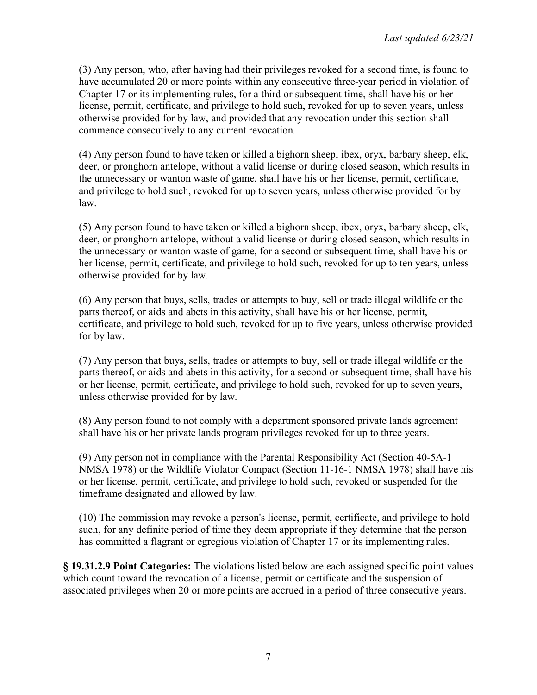(3) Any person, who, after having had their privileges revoked for a second time, is found to have accumulated 20 or more points within any consecutive three-year period in violation of Chapter 17 or its implementing rules, for a third or subsequent time, shall have his or her license, permit, certificate, and privilege to hold such, revoked for up to seven years, unless otherwise provided for by law, and provided that any revocation under this section shall commence consecutively to any current revocation.

(4) Any person found to have taken or killed a bighorn sheep, ibex, oryx, barbary sheep, elk, deer, or pronghorn antelope, without a valid license or during closed season, which results in the unnecessary or wanton waste of game, shall have his or her license, permit, certificate, and privilege to hold such, revoked for up to seven years, unless otherwise provided for by law.

(5) Any person found to have taken or killed a bighorn sheep, ibex, oryx, barbary sheep, elk, deer, or pronghorn antelope, without a valid license or during closed season, which results in the unnecessary or wanton waste of game, for a second or subsequent time, shall have his or her license, permit, certificate, and privilege to hold such, revoked for up to ten years, unless otherwise provided for by law.

(6) Any person that buys, sells, trades or attempts to buy, sell or trade illegal wildlife or the parts thereof, or aids and abets in this activity, shall have his or her license, permit, certificate, and privilege to hold such, revoked for up to five years, unless otherwise provided for by law.

(7) Any person that buys, sells, trades or attempts to buy, sell or trade illegal wildlife or the parts thereof, or aids and abets in this activity, for a second or subsequent time, shall have his or her license, permit, certificate, and privilege to hold such, revoked for up to seven years, unless otherwise provided for by law.

(8) Any person found to not comply with a department sponsored private lands agreement shall have his or her private lands program privileges revoked for up to three years.

(9) Any person not in compliance with the Parental Responsibility Act (Section 40-5A-1 NMSA 1978) or the Wildlife Violator Compact (Section 11-16-1 NMSA 1978) shall have his or her license, permit, certificate, and privilege to hold such, revoked or suspended for the timeframe designated and allowed by law.

(10) The commission may revoke a person's license, permit, certificate, and privilege to hold such, for any definite period of time they deem appropriate if they determine that the person has committed a flagrant or egregious violation of Chapter 17 or its implementing rules.

**§ 19.31.2.9 Point Categories:** The violations listed below are each assigned specific point values which count toward the revocation of a license, permit or certificate and the suspension of associated privileges when 20 or more points are accrued in a period of three consecutive years.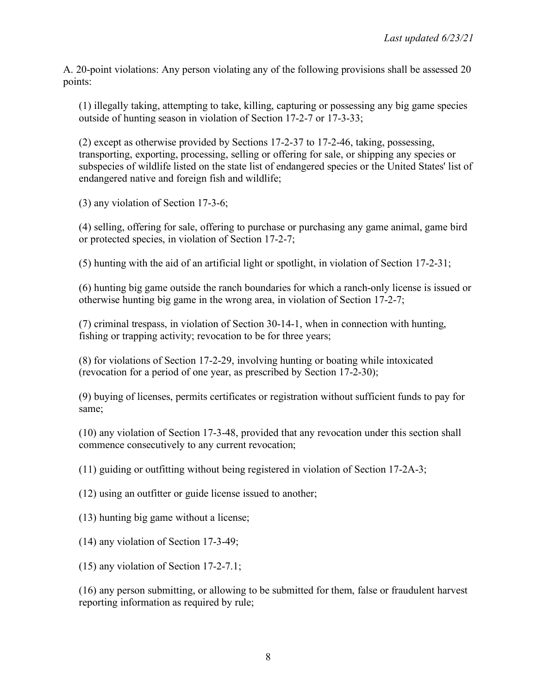A. 20-point violations: Any person violating any of the following provisions shall be assessed 20 points:

(1) illegally taking, attempting to take, killing, capturing or possessing any big game species outside of hunting season in violation of Section 17-2-7 or 17-3-33;

(2) except as otherwise provided by Sections 17-2-37 to 17-2-46, taking, possessing, transporting, exporting, processing, selling or offering for sale, or shipping any species or subspecies of wildlife listed on the state list of endangered species or the United States' list of endangered native and foreign fish and wildlife;

(3) any violation of Section 17-3-6;

(4) selling, offering for sale, offering to purchase or purchasing any game animal, game bird or protected species, in violation of Section 17-2-7;

(5) hunting with the aid of an artificial light or spotlight, in violation of Section 17-2-31;

(6) hunting big game outside the ranch boundaries for which a ranch-only license is issued or otherwise hunting big game in the wrong area, in violation of Section 17-2-7;

(7) criminal trespass, in violation of Section 30-14-1, when in connection with hunting, fishing or trapping activity; revocation to be for three years;

(8) for violations of Section 17-2-29, involving hunting or boating while intoxicated (revocation for a period of one year, as prescribed by Section 17-2-30);

(9) buying of licenses, permits certificates or registration without sufficient funds to pay for same;

(10) any violation of Section 17-3-48, provided that any revocation under this section shall commence consecutively to any current revocation;

(11) guiding or outfitting without being registered in violation of Section 17-2A-3;

(12) using an outfitter or guide license issued to another;

(13) hunting big game without a license;

(14) any violation of Section 17-3-49;

(15) any violation of Section 17-2-7.1;

(16) any person submitting, or allowing to be submitted for them, false or fraudulent harvest reporting information as required by rule;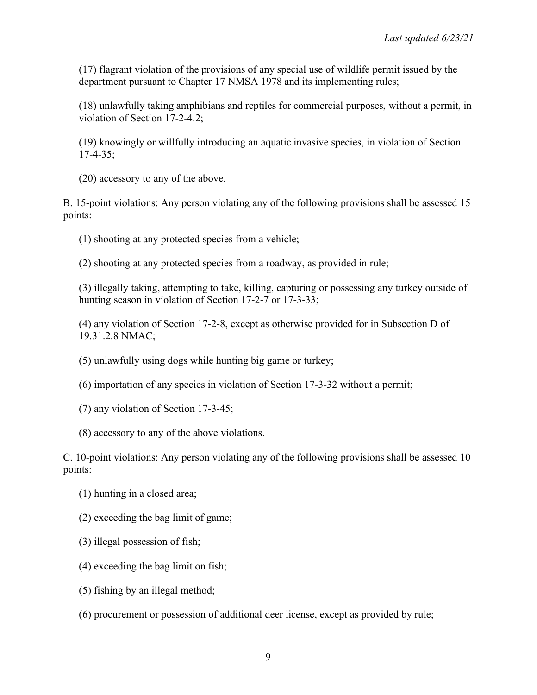(17) flagrant violation of the provisions of any special use of wildlife permit issued by the department pursuant to Chapter 17 NMSA 1978 and its implementing rules;

(18) unlawfully taking amphibians and reptiles for commercial purposes, without a permit, in violation of Section 17-2-4.2;

(19) knowingly or willfully introducing an aquatic invasive species, in violation of Section 17-4-35;

(20) accessory to any of the above.

B. 15-point violations: Any person violating any of the following provisions shall be assessed 15 points:

(1) shooting at any protected species from a vehicle;

(2) shooting at any protected species from a roadway, as provided in rule;

(3) illegally taking, attempting to take, killing, capturing or possessing any turkey outside of hunting season in violation of Section 17-2-7 or 17-3-33;

(4) any violation of Section 17-2-8, except as otherwise provided for in Subsection D of 19.31.2.8 NMAC;

(5) unlawfully using dogs while hunting big game or turkey;

(6) importation of any species in violation of Section 17-3-32 without a permit;

(7) any violation of Section 17-3-45;

(8) accessory to any of the above violations.

C. 10-point violations: Any person violating any of the following provisions shall be assessed 10 points:

- (1) hunting in a closed area;
- (2) exceeding the bag limit of game;
- (3) illegal possession of fish;
- (4) exceeding the bag limit on fish;
- (5) fishing by an illegal method;
- (6) procurement or possession of additional deer license, except as provided by rule;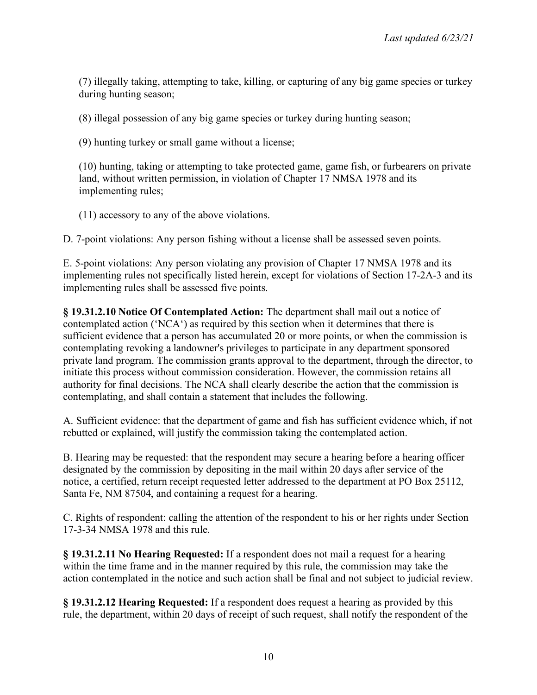(7) illegally taking, attempting to take, killing, or capturing of any big game species or turkey during hunting season;

(8) illegal possession of any big game species or turkey during hunting season;

(9) hunting turkey or small game without a license;

(10) hunting, taking or attempting to take protected game, game fish, or furbearers on private land, without written permission, in violation of Chapter 17 NMSA 1978 and its implementing rules;

(11) accessory to any of the above violations.

D. 7-point violations: Any person fishing without a license shall be assessed seven points.

E. 5-point violations: Any person violating any provision of Chapter 17 NMSA 1978 and its implementing rules not specifically listed herein, except for violations of Section 17-2A-3 and its implementing rules shall be assessed five points.

**§ 19.31.2.10 Notice Of Contemplated Action:** The department shall mail out a notice of contemplated action ('NCA') as required by this section when it determines that there is sufficient evidence that a person has accumulated 20 or more points, or when the commission is contemplating revoking a landowner's privileges to participate in any department sponsored private land program. The commission grants approval to the department, through the director, to initiate this process without commission consideration. However, the commission retains all authority for final decisions. The NCA shall clearly describe the action that the commission is contemplating, and shall contain a statement that includes the following.

A. Sufficient evidence: that the department of game and fish has sufficient evidence which, if not rebutted or explained, will justify the commission taking the contemplated action.

B. Hearing may be requested: that the respondent may secure a hearing before a hearing officer designated by the commission by depositing in the mail within 20 days after service of the notice, a certified, return receipt requested letter addressed to the department at PO Box 25112, Santa Fe, NM 87504, and containing a request for a hearing.

C. Rights of respondent: calling the attention of the respondent to his or her rights under Section 17-3-34 NMSA 1978 and this rule.

**§ 19.31.2.11 No Hearing Requested:** If a respondent does not mail a request for a hearing within the time frame and in the manner required by this rule, the commission may take the action contemplated in the notice and such action shall be final and not subject to judicial review.

**§ 19.31.2.12 Hearing Requested:** If a respondent does request a hearing as provided by this rule, the department, within 20 days of receipt of such request, shall notify the respondent of the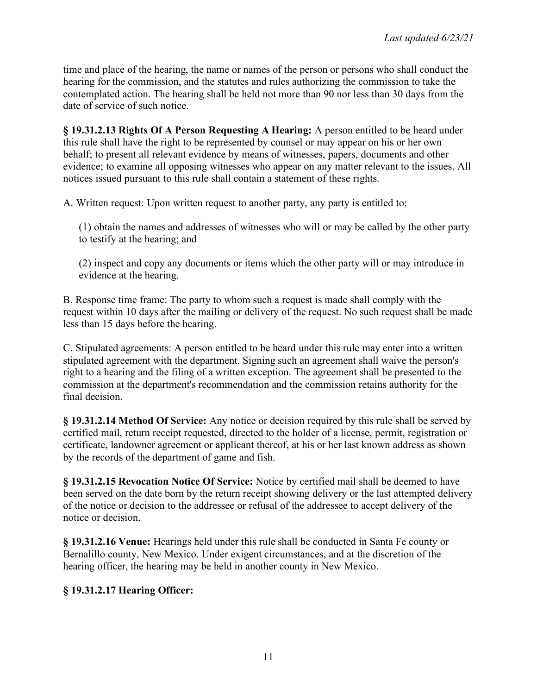time and place of the hearing, the name or names of the person or persons who shall conduct the hearing for the commission, and the statutes and rules authorizing the commission to take the contemplated action. The hearing shall be held not more than 90 nor less than 30 days from the date of service of such notice.

**§ 19.31.2.13 Rights Of A Person Requesting A Hearing:** A person entitled to be heard under this rule shall have the right to be represented by counsel or may appear on his or her own behalf; to present all relevant evidence by means of witnesses, papers, documents and other evidence; to examine all opposing witnesses who appear on any matter relevant to the issues. All notices issued pursuant to this rule shall contain a statement of these rights.

A. Written request: Upon written request to another party, any party is entitled to:

(1) obtain the names and addresses of witnesses who will or may be called by the other party to testify at the hearing; and

(2) inspect and copy any documents or items which the other party will or may introduce in evidence at the hearing.

B. Response time frame: The party to whom such a request is made shall comply with the request within 10 days after the mailing or delivery of the request. No such request shall be made less than 15 days before the hearing.

C. Stipulated agreements: A person entitled to be heard under this rule may enter into a written stipulated agreement with the department. Signing such an agreement shall waive the person's right to a hearing and the filing of a written exception. The agreement shall be presented to the commission at the department's recommendation and the commission retains authority for the final decision.

**§ 19.31.2.14 Method Of Service:** Any notice or decision required by this rule shall be served by certified mail, return receipt requested, directed to the holder of a license, permit, registration or certificate, landowner agreement or applicant thereof, at his or her last known address as shown by the records of the department of game and fish.

**§ 19.31.2.15 Revocation Notice Of Service:** Notice by certified mail shall be deemed to have been served on the date born by the return receipt showing delivery or the last attempted delivery of the notice or decision to the addressee or refusal of the addressee to accept delivery of the notice or decision.

**§ 19.31.2.16 Venue:** Hearings held under this rule shall be conducted in Santa Fe county or Bernalillo county, New Mexico. Under exigent circumstances, and at the discretion of the hearing officer, the hearing may be held in another county in New Mexico.

## **§ 19.31.2.17 Hearing Officer:**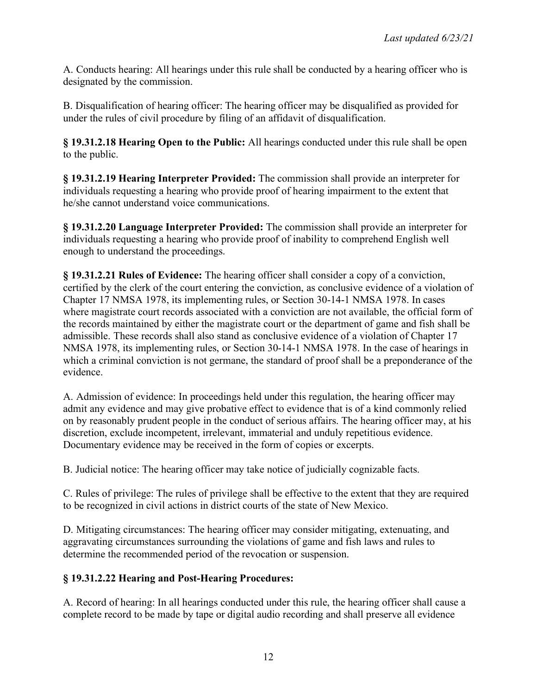A. Conducts hearing: All hearings under this rule shall be conducted by a hearing officer who is designated by the commission.

B. Disqualification of hearing officer: The hearing officer may be disqualified as provided for under the rules of civil procedure by filing of an affidavit of disqualification.

**§ 19.31.2.18 Hearing Open to the Public:** All hearings conducted under this rule shall be open to the public.

**§ 19.31.2.19 Hearing Interpreter Provided:** The commission shall provide an interpreter for individuals requesting a hearing who provide proof of hearing impairment to the extent that he/she cannot understand voice communications.

**§ 19.31.2.20 Language Interpreter Provided:** The commission shall provide an interpreter for individuals requesting a hearing who provide proof of inability to comprehend English well enough to understand the proceedings.

**§ 19.31.2.21 Rules of Evidence:** The hearing officer shall consider a copy of a conviction, certified by the clerk of the court entering the conviction, as conclusive evidence of a violation of Chapter 17 NMSA 1978, its implementing rules, or Section 30-14-1 NMSA 1978. In cases where magistrate court records associated with a conviction are not available, the official form of the records maintained by either the magistrate court or the department of game and fish shall be admissible. These records shall also stand as conclusive evidence of a violation of Chapter 17 NMSA 1978, its implementing rules, or Section 30-14-1 NMSA 1978. In the case of hearings in which a criminal conviction is not germane, the standard of proof shall be a preponderance of the evidence.

A. Admission of evidence: In proceedings held under this regulation, the hearing officer may admit any evidence and may give probative effect to evidence that is of a kind commonly relied on by reasonably prudent people in the conduct of serious affairs. The hearing officer may, at his discretion, exclude incompetent, irrelevant, immaterial and unduly repetitious evidence. Documentary evidence may be received in the form of copies or excerpts.

B. Judicial notice: The hearing officer may take notice of judicially cognizable facts.

C. Rules of privilege: The rules of privilege shall be effective to the extent that they are required to be recognized in civil actions in district courts of the state of New Mexico.

D. Mitigating circumstances: The hearing officer may consider mitigating, extenuating, and aggravating circumstances surrounding the violations of game and fish laws and rules to determine the recommended period of the revocation or suspension.

# **§ 19.31.2.22 Hearing and Post-Hearing Procedures:**

A. Record of hearing: In all hearings conducted under this rule, the hearing officer shall cause a complete record to be made by tape or digital audio recording and shall preserve all evidence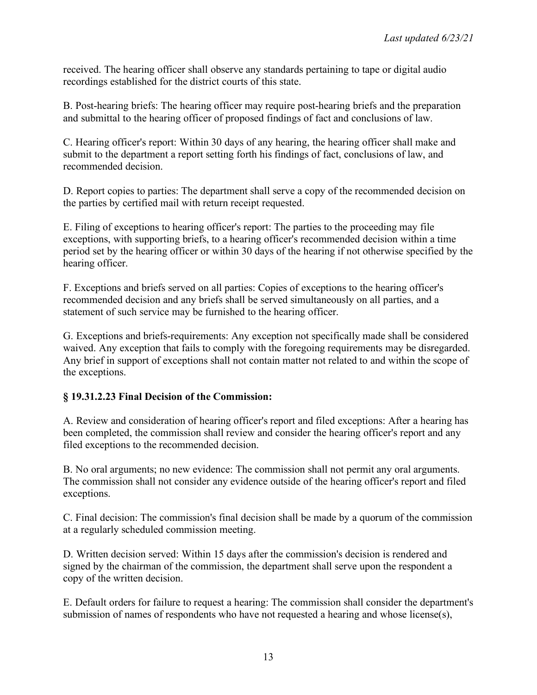received. The hearing officer shall observe any standards pertaining to tape or digital audio recordings established for the district courts of this state.

B. Post-hearing briefs: The hearing officer may require post-hearing briefs and the preparation and submittal to the hearing officer of proposed findings of fact and conclusions of law.

C. Hearing officer's report: Within 30 days of any hearing, the hearing officer shall make and submit to the department a report setting forth his findings of fact, conclusions of law, and recommended decision.

D. Report copies to parties: The department shall serve a copy of the recommended decision on the parties by certified mail with return receipt requested.

E. Filing of exceptions to hearing officer's report: The parties to the proceeding may file exceptions, with supporting briefs, to a hearing officer's recommended decision within a time period set by the hearing officer or within 30 days of the hearing if not otherwise specified by the hearing officer.

F. Exceptions and briefs served on all parties: Copies of exceptions to the hearing officer's recommended decision and any briefs shall be served simultaneously on all parties, and a statement of such service may be furnished to the hearing officer.

G. Exceptions and briefs-requirements: Any exception not specifically made shall be considered waived. Any exception that fails to comply with the foregoing requirements may be disregarded. Any brief in support of exceptions shall not contain matter not related to and within the scope of the exceptions.

## **§ 19.31.2.23 Final Decision of the Commission:**

A. Review and consideration of hearing officer's report and filed exceptions: After a hearing has been completed, the commission shall review and consider the hearing officer's report and any filed exceptions to the recommended decision.

B. No oral arguments; no new evidence: The commission shall not permit any oral arguments. The commission shall not consider any evidence outside of the hearing officer's report and filed exceptions.

C. Final decision: The commission's final decision shall be made by a quorum of the commission at a regularly scheduled commission meeting.

D. Written decision served: Within 15 days after the commission's decision is rendered and signed by the chairman of the commission, the department shall serve upon the respondent a copy of the written decision.

E. Default orders for failure to request a hearing: The commission shall consider the department's submission of names of respondents who have not requested a hearing and whose license(s),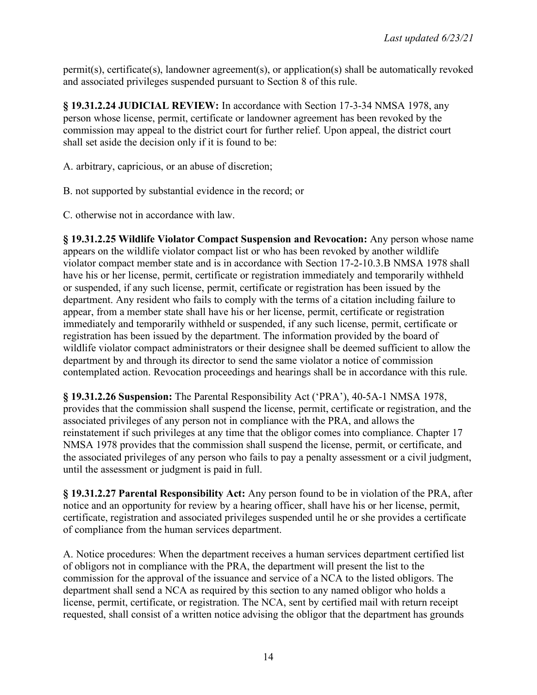permit(s), certificate(s), landowner agreement(s), or application(s) shall be automatically revoked and associated privileges suspended pursuant to Section 8 of this rule.

**§ 19.31.2.24 JUDICIAL REVIEW:** In accordance with Section 17-3-34 NMSA 1978, any person whose license, permit, certificate or landowner agreement has been revoked by the commission may appeal to the district court for further relief. Upon appeal, the district court shall set aside the decision only if it is found to be:

A. arbitrary, capricious, or an abuse of discretion;

B. not supported by substantial evidence in the record; or

C. otherwise not in accordance with law.

**§ 19.31.2.25 Wildlife Violator Compact Suspension and Revocation:** Any person whose name appears on the wildlife violator compact list or who has been revoked by another wildlife violator compact member state and is in accordance with Section 17-2-10.3.B NMSA 1978 shall have his or her license, permit, certificate or registration immediately and temporarily withheld or suspended, if any such license, permit, certificate or registration has been issued by the department. Any resident who fails to comply with the terms of a citation including failure to appear, from a member state shall have his or her license, permit, certificate or registration immediately and temporarily withheld or suspended, if any such license, permit, certificate or registration has been issued by the department. The information provided by the board of wildlife violator compact administrators or their designee shall be deemed sufficient to allow the department by and through its director to send the same violator a notice of commission contemplated action. Revocation proceedings and hearings shall be in accordance with this rule.

**§ 19.31.2.26 Suspension:** The Parental Responsibility Act ('PRA'), 40-5A-1 NMSA 1978, provides that the commission shall suspend the license, permit, certificate or registration, and the associated privileges of any person not in compliance with the PRA, and allows the reinstatement if such privileges at any time that the obligor comes into compliance. Chapter 17 NMSA 1978 provides that the commission shall suspend the license, permit, or certificate, and the associated privileges of any person who fails to pay a penalty assessment or a civil judgment, until the assessment or judgment is paid in full.

**§ 19.31.2.27 Parental Responsibility Act:** Any person found to be in violation of the PRA, after notice and an opportunity for review by a hearing officer, shall have his or her license, permit, certificate, registration and associated privileges suspended until he or she provides a certificate of compliance from the human services department.

A. Notice procedures: When the department receives a human services department certified list of obligors not in compliance with the PRA, the department will present the list to the commission for the approval of the issuance and service of a NCA to the listed obligors. The department shall send a NCA as required by this section to any named obligor who holds a license, permit, certificate, or registration. The NCA, sent by certified mail with return receipt requested, shall consist of a written notice advising the obligor that the department has grounds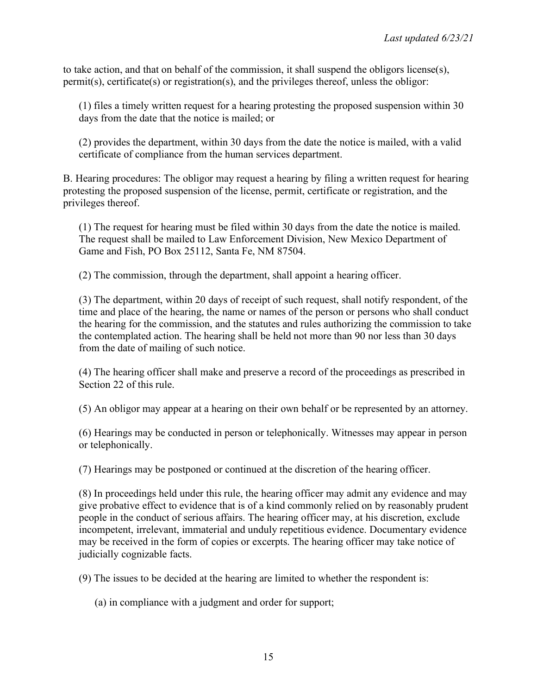to take action, and that on behalf of the commission, it shall suspend the obligors license(s), permit(s), certificate(s) or registration(s), and the privileges thereof, unless the obligor:

(1) files a timely written request for a hearing protesting the proposed suspension within 30 days from the date that the notice is mailed; or

(2) provides the department, within 30 days from the date the notice is mailed, with a valid certificate of compliance from the human services department.

B. Hearing procedures: The obligor may request a hearing by filing a written request for hearing protesting the proposed suspension of the license, permit, certificate or registration, and the privileges thereof.

(1) The request for hearing must be filed within 30 days from the date the notice is mailed. The request shall be mailed to Law Enforcement Division, New Mexico Department of Game and Fish, PO Box 25112, Santa Fe, NM 87504.

(2) The commission, through the department, shall appoint a hearing officer.

(3) The department, within 20 days of receipt of such request, shall notify respondent, of the time and place of the hearing, the name or names of the person or persons who shall conduct the hearing for the commission, and the statutes and rules authorizing the commission to take the contemplated action. The hearing shall be held not more than 90 nor less than 30 days from the date of mailing of such notice.

(4) The hearing officer shall make and preserve a record of the proceedings as prescribed in Section 22 of this rule.

(5) An obligor may appear at a hearing on their own behalf or be represented by an attorney.

(6) Hearings may be conducted in person or telephonically. Witnesses may appear in person or telephonically.

(7) Hearings may be postponed or continued at the discretion of the hearing officer.

(8) In proceedings held under this rule, the hearing officer may admit any evidence and may give probative effect to evidence that is of a kind commonly relied on by reasonably prudent people in the conduct of serious affairs. The hearing officer may, at his discretion, exclude incompetent, irrelevant, immaterial and unduly repetitious evidence. Documentary evidence may be received in the form of copies or excerpts. The hearing officer may take notice of judicially cognizable facts.

(9) The issues to be decided at the hearing are limited to whether the respondent is:

(a) in compliance with a judgment and order for support;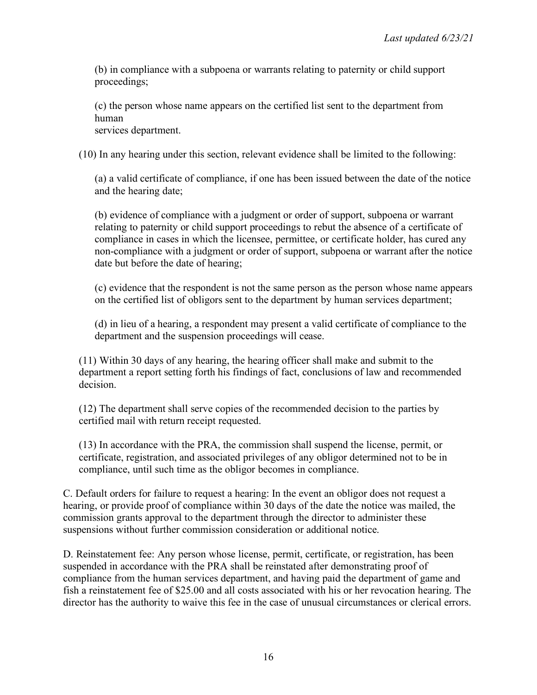(b) in compliance with a subpoena or warrants relating to paternity or child support proceedings;

(c) the person whose name appears on the certified list sent to the department from human

services department.

(10) In any hearing under this section, relevant evidence shall be limited to the following:

(a) a valid certificate of compliance, if one has been issued between the date of the notice and the hearing date;

(b) evidence of compliance with a judgment or order of support, subpoena or warrant relating to paternity or child support proceedings to rebut the absence of a certificate of compliance in cases in which the licensee, permittee, or certificate holder, has cured any non-compliance with a judgment or order of support, subpoena or warrant after the notice date but before the date of hearing;

(c) evidence that the respondent is not the same person as the person whose name appears on the certified list of obligors sent to the department by human services department;

(d) in lieu of a hearing, a respondent may present a valid certificate of compliance to the department and the suspension proceedings will cease.

(11) Within 30 days of any hearing, the hearing officer shall make and submit to the department a report setting forth his findings of fact, conclusions of law and recommended decision.

(12) The department shall serve copies of the recommended decision to the parties by certified mail with return receipt requested.

(13) In accordance with the PRA, the commission shall suspend the license, permit, or certificate, registration, and associated privileges of any obligor determined not to be in compliance, until such time as the obligor becomes in compliance.

C. Default orders for failure to request a hearing: In the event an obligor does not request a hearing, or provide proof of compliance within 30 days of the date the notice was mailed, the commission grants approval to the department through the director to administer these suspensions without further commission consideration or additional notice.

D. Reinstatement fee: Any person whose license, permit, certificate, or registration, has been suspended in accordance with the PRA shall be reinstated after demonstrating proof of compliance from the human services department, and having paid the department of game and fish a reinstatement fee of \$25.00 and all costs associated with his or her revocation hearing. The director has the authority to waive this fee in the case of unusual circumstances or clerical errors.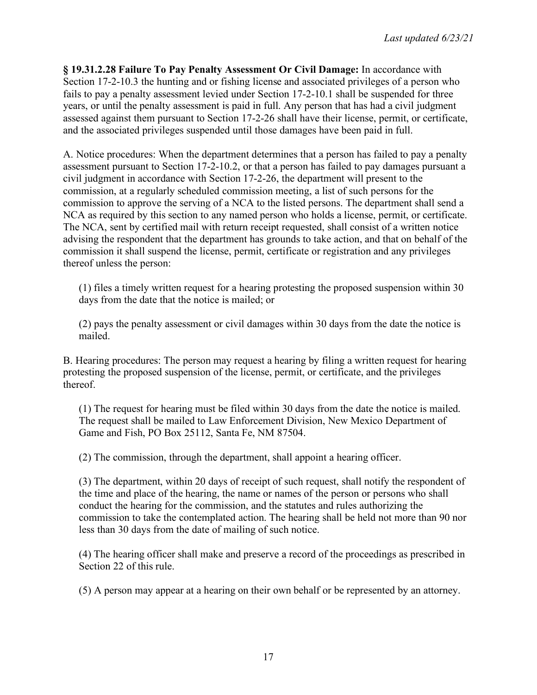**§ 19.31.2.28 Failure To Pay Penalty Assessment Or Civil Damage:** In accordance with Section 17-2-10.3 the hunting and or fishing license and associated privileges of a person who fails to pay a penalty assessment levied under Section 17-2-10.1 shall be suspended for three years, or until the penalty assessment is paid in full. Any person that has had a civil judgment assessed against them pursuant to Section 17-2-26 shall have their license, permit, or certificate, and the associated privileges suspended until those damages have been paid in full.

A. Notice procedures: When the department determines that a person has failed to pay a penalty assessment pursuant to Section 17-2-10.2, or that a person has failed to pay damages pursuant a civil judgment in accordance with Section 17-2-26, the department will present to the commission, at a regularly scheduled commission meeting, a list of such persons for the commission to approve the serving of a NCA to the listed persons. The department shall send a NCA as required by this section to any named person who holds a license, permit, or certificate. The NCA, sent by certified mail with return receipt requested, shall consist of a written notice advising the respondent that the department has grounds to take action, and that on behalf of the commission it shall suspend the license, permit, certificate or registration and any privileges thereof unless the person:

(1) files a timely written request for a hearing protesting the proposed suspension within 30 days from the date that the notice is mailed; or

(2) pays the penalty assessment or civil damages within 30 days from the date the notice is mailed.

B. Hearing procedures: The person may request a hearing by filing a written request for hearing protesting the proposed suspension of the license, permit, or certificate, and the privileges thereof.

(1) The request for hearing must be filed within 30 days from the date the notice is mailed. The request shall be mailed to Law Enforcement Division, New Mexico Department of Game and Fish, PO Box 25112, Santa Fe, NM 87504.

(2) The commission, through the department, shall appoint a hearing officer.

(3) The department, within 20 days of receipt of such request, shall notify the respondent of the time and place of the hearing, the name or names of the person or persons who shall conduct the hearing for the commission, and the statutes and rules authorizing the commission to take the contemplated action. The hearing shall be held not more than 90 nor less than 30 days from the date of mailing of such notice.

(4) The hearing officer shall make and preserve a record of the proceedings as prescribed in Section 22 of this rule.

(5) A person may appear at a hearing on their own behalf or be represented by an attorney.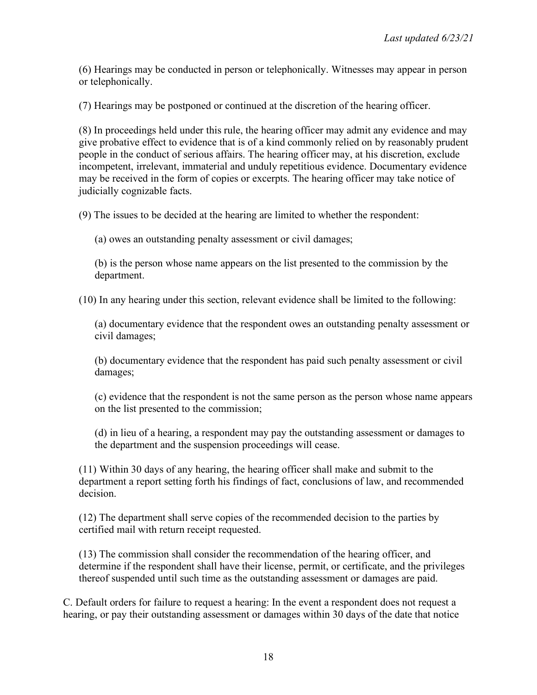(6) Hearings may be conducted in person or telephonically. Witnesses may appear in person or telephonically.

(7) Hearings may be postponed or continued at the discretion of the hearing officer.

(8) In proceedings held under this rule, the hearing officer may admit any evidence and may give probative effect to evidence that is of a kind commonly relied on by reasonably prudent people in the conduct of serious affairs. The hearing officer may, at his discretion, exclude incompetent, irrelevant, immaterial and unduly repetitious evidence. Documentary evidence may be received in the form of copies or excerpts. The hearing officer may take notice of judicially cognizable facts.

(9) The issues to be decided at the hearing are limited to whether the respondent:

(a) owes an outstanding penalty assessment or civil damages;

(b) is the person whose name appears on the list presented to the commission by the department.

(10) In any hearing under this section, relevant evidence shall be limited to the following:

(a) documentary evidence that the respondent owes an outstanding penalty assessment or civil damages;

(b) documentary evidence that the respondent has paid such penalty assessment or civil damages;

(c) evidence that the respondent is not the same person as the person whose name appears on the list presented to the commission;

(d) in lieu of a hearing, a respondent may pay the outstanding assessment or damages to the department and the suspension proceedings will cease.

(11) Within 30 days of any hearing, the hearing officer shall make and submit to the department a report setting forth his findings of fact, conclusions of law, and recommended decision.

(12) The department shall serve copies of the recommended decision to the parties by certified mail with return receipt requested.

(13) The commission shall consider the recommendation of the hearing officer, and determine if the respondent shall have their license, permit, or certificate, and the privileges thereof suspended until such time as the outstanding assessment or damages are paid.

C. Default orders for failure to request a hearing: In the event a respondent does not request a hearing, or pay their outstanding assessment or damages within 30 days of the date that notice